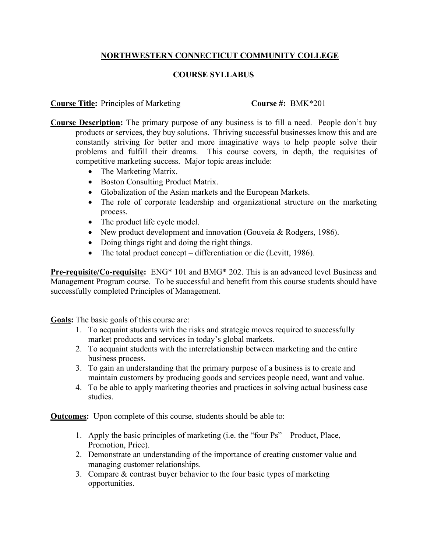## **NORTHWESTERN CONNECTICUT COMMUNITY COLLEGE**

## **COURSE SYLLABUS**

**Course Title:** Principles of Marketing **Course #:** BMK\*201

- **Course Description:** The primary purpose of any business is to fill a need. People don't buy products or services, they buy solutions. Thriving successful businesses know this and are constantly striving for better and more imaginative ways to help people solve their problems and fulfill their dreams. This course covers, in depth, the requisites of competitive marketing success. Major topic areas include:
	- The Marketing Matrix.
	- Boston Consulting Product Matrix.
	- Globalization of the Asian markets and the European Markets.
	- The role of corporate leadership and organizational structure on the marketing process.
	- The product life cycle model.
	- New product development and innovation (Gouveia & Rodgers, 1986).
	- Doing things right and doing the right things.
	- The total product concept differentiation or die (Levitt, 1986).

**Pre-requisite/Co-requisite:** ENG\* 101 and BMG\* 202. This is an advanced level Business and Management Program course. To be successful and benefit from this course students should have successfully completed Principles of Management.

**Goals:** The basic goals of this course are:

- 1. To acquaint students with the risks and strategic moves required to successfully market products and services in today's global markets.
- 2. To acquaint students with the interrelationship between marketing and the entire business process.
- 3. To gain an understanding that the primary purpose of a business is to create and maintain customers by producing goods and services people need, want and value.
- 4. To be able to apply marketing theories and practices in solving actual business case studies.

**<u>Outcomes</u>:** Upon complete of this course, students should be able to:

- 1. Apply the basic principles of marketing (i.e. the "four Ps" Product, Place, Promotion, Price).
- 2. Demonstrate an understanding of the importance of creating customer value and managing customer relationships.
- 3. Compare & contrast buyer behavior to the four basic types of marketing opportunities.